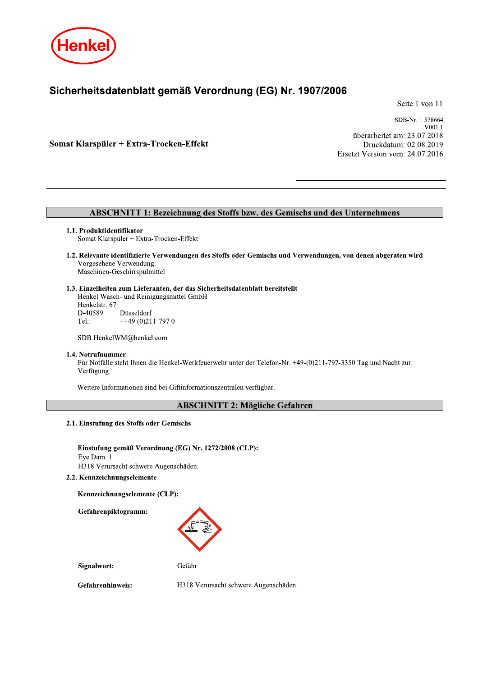

# Sicherheitsdatenblatt gemäß Verordnung (EG) Nr. 1907/2006

Seite 1 von 11

Somat Klarspüler + Extra-Trocken-Effekt

SDB-Nr.: 578664 V<sub>001</sub>1 überarbeitet am: 23.07.2018 Druckdatum: 02.08.2019 Ersetzt Version vom: 24.07.2016

# **ABSCHNITT 1: Bezeichnung des Stoffs bzw. des Gemischs und des Unternehmens**

#### 1.1. Produktidentifikator

Somat Klarspüler + Extra-Trocken-Effekt

1.2. Relevante identifizierte Verwendungen des Stoffs oder Gemischs und Verwendungen, von denen abgeraten wird Vorgesehene Verwendung: Maschinen-Geschirrspülmittel

#### 1.3. Einzelheiten zum Lieferanten, der das Sicherheitsdatenblatt bereitstellt

Henkel Wasch- und Reinigungsmittel GmbH Henkelstr. 67 D-40589 Düsseldorf  $+49(0)211-7970$ Tel.:

SDB.HenkelWM@henkel.com

#### 1.4. Notrufnummer

Für Notfälle steht Ihnen die Henkel-Werkfeuerwehr unter der Telefon-Nr. +49-(0)211-797-3350 Tag und Nacht zur Verfügung.

Weitere Informationen sind bei Giftinformationszentralen verfügbar.

# **ABSCHNITT 2: Mögliche Gefahren**

2.1. Einstufung des Stoffs oder Gemischs

Einstufung gemäß Verordnung (EG) Nr. 1272/2008 (CLP): Eye Dam. 1 H318 Verursacht schwere Augenschäden.

2.2. Kennzeichnungselemente

Kennzeichnungselemente (CLP):

Gefahrenpiktogramm:



Signalwort:

Gefahr

Gefahrenhinweis:

H318 Verursacht schwere Augenschäden.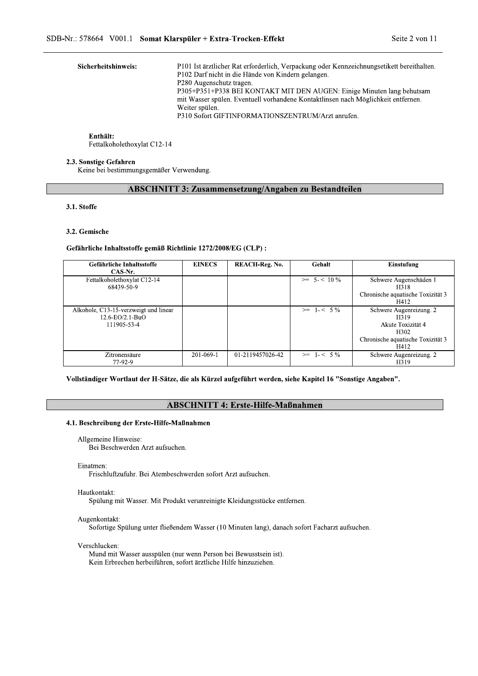|                                                                    | SDB-Nr.: 578664 V001.1 Somat Klarspüler + Extra-Trocken-Effekt                                                                                                                                                                                                                                                                                                                                                    | Seite 2 von 11 |
|--------------------------------------------------------------------|-------------------------------------------------------------------------------------------------------------------------------------------------------------------------------------------------------------------------------------------------------------------------------------------------------------------------------------------------------------------------------------------------------------------|----------------|
| Sicherheitshinweis:                                                | P101 Ist ärztlicher Rat erforderlich, Verpackung oder Kennzeichnungsetikett bereithalten.<br>P102 Darf nicht in die Hände von Kindern gelangen.<br>P280 Augenschutz tragen.<br>P305+P351+P338 BEI KONTAKT MIT DEN AUGEN: Einige Minuten lang behutsam<br>mit Wasser spülen. Eventuell vorhandene Kontaktlinsen nach Möglichkeit entfernen.<br>Weiter spülen.<br>P310 Sofort GIFTINFORMATIONSZENTRUM/Arzt anrufen. |                |
| Enthält:<br>Fettalkoholethoxylat C12-14                            |                                                                                                                                                                                                                                                                                                                                                                                                                   |                |
| 2.3. Sonstige Gefahren<br>Keine bei bestimmungsgemäßer Verwendung. |                                                                                                                                                                                                                                                                                                                                                                                                                   |                |

#### Enthält:

# ABSCHNITT 3: Zusammensetzung/Angaben zu Bestandteilen

|                                                                                                            |               | <b>ABSCHNITT 3: Zusammensetzung/Angaben zu Bestandteilen</b> |                  |                                           |
|------------------------------------------------------------------------------------------------------------|---------------|--------------------------------------------------------------|------------------|-------------------------------------------|
| 3.1. Stoffe                                                                                                |               |                                                              |                  |                                           |
| 3.2. Gemische                                                                                              |               |                                                              |                  |                                           |
| Gefährliche Inhaltsstoffe gemäß Richtlinie 1272/2008/EG (CLP) :                                            |               |                                                              |                  |                                           |
| Gefährliche Inhaltsstoffe<br>CAS-Nr.                                                                       | <b>EINECS</b> | <b>REACH-Reg. No.</b>                                        | Gehalt           | Einstufung                                |
| Fettalkoholethoxylat C12-14<br>68439-50-9                                                                  |               |                                                              | $>=$ 5- $<$ 10 % | Schwere Augenschäden 1<br>H318            |
|                                                                                                            |               |                                                              |                  | Chronische aquatische Toxizität 3<br>H412 |
| Alkohole, C13-15-verzweigt und linear<br>12.6-EO/2.1-BuO                                                   |               |                                                              | $>=$ 1-< 5%      | Schwere Augenreizung. 2<br>H319           |
| 111905-53-4                                                                                                |               |                                                              |                  | Akute Toxizität 4<br>H302                 |
|                                                                                                            |               |                                                              |                  | Chronische aquatische Toxizität 3<br>H412 |
| Zitronensäure<br>77-92-9                                                                                   | 201-069-1     | 01-2119457026-42                                             | $>=$ 1-< 5%      | Schwere Augenreizung. 2<br>H319           |
| Vollständiger Wortlaut der H-Sätze, die als Kürzel aufgeführt werden, siehe Kapitel 16 "Sonstige Angaben". |               | <b>ABSCHNITT 4: Erste-Hilfe-Maßnahmen</b>                    |                  |                                           |
| 4.1. Beschreibung der Erste-Hilfe-Maßnahmen                                                                |               |                                                              |                  |                                           |
| Allgemeine Hinweise:<br>Bei Beschwerden Arzt aufsuchen.                                                    |               |                                                              |                  |                                           |
| Einatmen:                                                                                                  |               |                                                              |                  |                                           |
| Frischluftzufuhr. Bei Atembeschwerden sofort Arzt aufsuchen.                                               |               |                                                              |                  |                                           |
| Hautkontakt:                                                                                               |               |                                                              |                  |                                           |

#### Einatmen:

#### Hautkontakt:

Spülung mit Wasser. Mit Produkt verunreinigte Kleidungsstücke entfernen.

#### Augenkontakt:

Sofortige Spülung unter fließendem Wasser (10 Minuten lang), danach sofort Facharzt aufsuchen.

#### Verschlucken:

Mund mit Wasser ausspülen (nur wenn Person bei Bewusstsein ist). Kein Erbrechen herbeiführen, sofort ärztliche Hilfe hinzuziehen.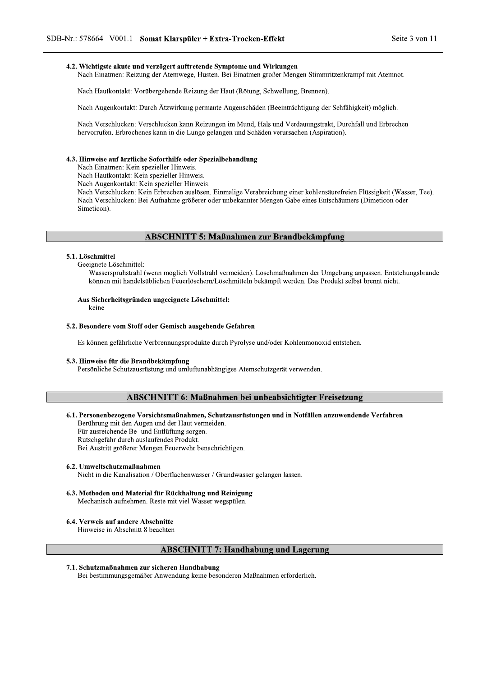Somat Klarspüler + Extra-Trocken-Effekt<br>
d verzögert auftretende Symptome und Wirkungen<br>
ung der Atemwege, Husten. Bei Einatmen großer Mengen Stimmritzenkra<br>
orübergehende Reizung der Haut (Rötung, Schwellung, Brennen).<br>
D

 $\mathbf{r}$ Nach Hautkontakt: Vorübergehende Reizung der Haut (Rotung, Schwellung, Brennen).

Nach Augenkontakt: Durch Atzwirkung permante Augenschäden (Beeinträchtigung der Sehfähigkeit) möglich.

/1.: 578664 V001.1 **Somat Klarspüler + Extra-Trocken-Effekt** Seite 3<br>
4.2. Wichtigste akute und verzögert auftretende Symptome und Wirkungen<br>
1. Nach Einatmen: Reizung der Atemwege, Husten. Bei Einatmen großer Mengen Stimm Nach Verschlucken: Verschlucken kann Keizungen im Mund, Hals und Verdauungstrakt, Durchfall und Erbrechen hervorrufen. Erbrochenes kann in die Lunge gelangen und Schäden verursachen (Aspiration).

Nach Hautkontakt: Vorübergehende Keizung der Haut (Kötung, Schweilung, Brennen).<br>
Nach Augenkontakt: Durch Ätzwirkung permante Augenschäden (Beeinträchtigung der Schfähigkeit) möglich.<br>
Nach Verschlucken: Verschlucken kann Nach Verschlucken: Bei Aufnahme größerer oder unbekannter Mengen Gabe eines Entschäumers (Dimeticon oder Simeticon) **4.3. Hinweise auf ärztliche Soforthilfe oder Spezialbehandlung<br>
Nach Einstmen: Kein spezieller Hinweis.<br>
Nach Augenkontakt: Kein spezieller Hinweis.<br>
Nach Augenkontakt: Kein spezieller Hinweis.<br>
Nach Verschlucken: Rein Er** 

#### 5.1. Löschmittel

L

L

Geeignete Löschmittel:

Wassersprühstrahl (wenn möglich Vollstrahl vermeiden). Löschmaßnahmen der Umgebung anpassen. Entstehungsbrände konnen mit handelsublichen Feuerlöschern/Loschmitteln bekampft werden. Das Produkt selbst brennt nicht. S.1. Exerimitel:<br>
Geeignete Löschmittel:<br>
Wassersprühstrahl (wenn möglich Vollstrahl vermeiden). Löschmaßnahmer<br>
können mit handelsüblichen Feuerlöschern/Löschmittel:<br>
Aus Sicher-heitsgründen ungeeignete Löschmittel:<br>
kein

# Aus Sicherheitsgründen ungeeignete Löschmittel:

keine

Es können gefährliche Verbrennungsprodukte durch Pyrolyse und/oder Kohlenmonoxid entstehen.

# ABSCHNITT 6: Maßnahmen bei unbeabsichtigter Freisetzung

# Aus Sicherheitsgründen ungeeignete Löschmittel:<br>
keine<br>
5.2. Besondere vom Stoff oder Gemisch ausgehende Gefahren<br>
Es können gefährliche Verbrennungsprodukte durch Pyrolyse und/oder Kohlenmonoxic<br>
5.3. Hinweise für die Bra to the Brandbekämpfung<br>Personliche Schutzausrüstung und umluftunabhängiges Atemschutzgerät verwenden.<br>ABSCHNITT 6: Maßnahmen bei unbeabsichtigter Freisetzung<br>6.1. Personenbezogene Vorsichtsmaßnahmen, Schutzausrüstungen und

- 
- 

## 6.2. Umweltschutzmaßnahmen

Nicht in die Kanalisation / Oberflächenwasser / Grundwasser gelangen lassen.

- Für ausreichende Be- und Enführung sorgen.<br>
Rutschgefahr durch auslaufendes Produkt.<br>
Bei Austritt größerer Mengen Feuerwehr benachrichtigen.<br>
6.2. Umweltschutzmaßnahmen<br>
Nicht in die Kanalisation / Oberflächenwasser / Gru to 3. Umweltschutzmaßnahmen<br>Nicht in die Kanalisation / Oberfläch<br>6.3. Methoden und Material für Rückh<br>Mechanisch aufnehmen. Reste mit vi<br>6.4. Verweis auf andere Abschnitte<br>Hinweise in Abschnitt 8 beachten<br>**ABSC**<br>7.1. Schu
	-

## ABSCHNITT 7: Handhabung und Lagerung

#### 7.1. Schutzmaßnahmen zur sicheren Handhabung

Bei bestimmungsgemäßer Anwendung keine besonderen Maßnahmen erforderlich.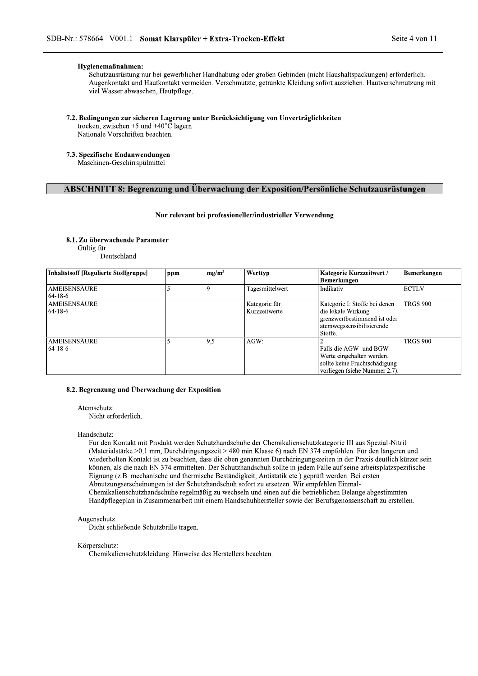## Hygienemaßnahmen:

Schutzausrüstung nur bei gewerblicher Handhabung oder großen Gebinden (nicht Haushaltspackungen) erforderlich. Augenkontakt und Hautkontakt vermeiden. Verschmutzte, getränkte Kleidung sofort ausziehen. Hautverschmutzung mit viel Wasser abwaschen, Hautpflege.

## 7.2. Bedingungen zur sicheren Lagerung unter Berücksichtigung von Unverträglichkeiten

trocken, zwischen +5 und +40 $^{\circ}$ C lagern Nationale Vorschriften beachten.

# 7.3. Spezifische Endanwendungen

Maschinen-Geschirrspülmittel

# **ABSCHNITT 8: Begrenzung und Überwachung der Exposition/Persönliche Schutzausrüstungen**

## Nur relevant bei professioneller/industrieller Verwendung

## 8.1. Zu überwachende Parameter

Gültig für

Deutschland

| <b>Inhaltstsoff [Regulierte Stoffgruppe]</b> | ppm | $mg/m^3$ | Werttyp                        | Kategorie Kurzzeitwert /<br><b>Bemerkungen</b>                                                                              | Bemerkungen     |
|----------------------------------------------|-----|----------|--------------------------------|-----------------------------------------------------------------------------------------------------------------------------|-----------------|
| AMEISENSÄURE<br>64-18-6                      |     |          | Tagesmittelwert                | Indikativ                                                                                                                   | <b>ECTLV</b>    |
| AMEISENSÄURE<br>$64-18-6$                    |     |          | Kategorie für<br>Kurzzeitwerte | Kategorie I: Stoffe bei denen<br>die lokale Wirkung<br>grenzwertbestimmend ist oder<br>atemwegssensibilisierende<br>Stoffe. | <b>TRGS 900</b> |
| <b>AMEISENSÄURE</b><br>$64-18-6$             |     | 9,5      | $AGW$ :                        | Falls die AGW- und BGW-<br>Werte eingehalten werden.<br>sollte keine Fruchtschädigung<br>vorliegen (siehe Nummer 2.7).      | <b>TRGS 900</b> |

### 8.2. Begrenzung und Überwachung der Exposition

#### Atemschutz:

Nicht erforderlich.

#### Handschutz:

Für den Kontakt mit Produkt werden Schutzhandschuhe der Chemikalienschutzkategorie III aus Spezial-Nitril (Materialstärke >0,1 mm, Durchdringungszeit > 480 min Klasse 6) nach EN 374 empfohlen. Für den längeren und wiederholten Kontakt ist zu beachten, dass die oben genannten Durchdringungszeiten in der Praxis deutlich kürzer sein können, als die nach EN 374 ermittelten. Der Schutzhandschuh sollte in jedem Falle auf seine arbeitsplatzspezifische Eignung (z.B. mechanische und thermische Beständigkeit, Antistatik etc.) geprüft werden. Bei ersten Abnutzungserscheinungen ist der Schutzhandschuh sofort zu ersetzen. Wir empfehlen Einmal-Chemikalienschutzhandschuhe regelmäßig zu wechseln und einen auf die betrieblichen Belange abgestimmten Handpflegeplan in Zusammenarbeit mit einem Handschuhhersteller sowie der Berufsgenossenschaft zu erstellen.

#### Augenschutz:

Dicht schließende Schutzbrille tragen.

#### Körperschutz:

Chemikalienschutzkleidung. Hinweise des Herstellers beachten.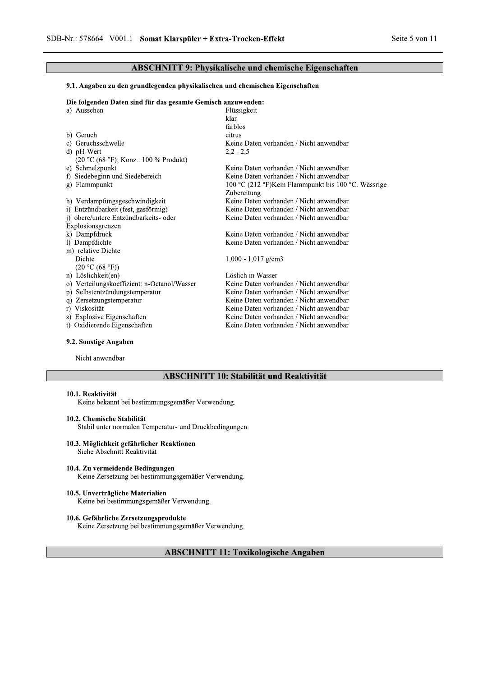# **ABSCHNITT 9: Physikalische und chemische Eigenschaften**

#### 9.1. Angaben zu den grundlegenden physikalischen und chemischen Eigenschaften

Die folgenden Daten sind für das gesamte Gemisch anzuwenden:

| a) Aussehen                                 | Flüssigkeit                                         |
|---------------------------------------------|-----------------------------------------------------|
|                                             | klar                                                |
|                                             | farblos                                             |
| b) Geruch                                   | citrus                                              |
| c) Geruchsschwelle                          | Keine Daten vorhanden / Nicht anwendbar             |
| d) pH-Wert                                  | $2,2 - 2,5$                                         |
| $(20 °C (68 °F)$ ; Konz.: 100 % Produkt)    |                                                     |
| e) Schmelzpunkt                             | Keine Daten vorhanden / Nicht anwendbar             |
| f) Siedebeginn und Siedebereich             | Keine Daten vorhanden / Nicht anwendbar             |
| g) Flammpunkt                               | 100 °C (212 °F)Kein Flammpunkt bis 100 °C. Wässrige |
|                                             | Zubereitung.                                        |
| h) Verdampfungsgeschwindigkeit              | Keine Daten vorhanden / Nicht anwendbar             |
| i) Entzündbarkeit (fest, gasförmig)         | Keine Daten vorhanden / Nicht anwendbar             |
| j) obere/untere Entzündbarkeits- oder       | Keine Daten vorhanden / Nicht anwendbar             |
| Explosionsgrenzen                           |                                                     |
| k) Dampfdruck                               | Keine Daten vorhanden / Nicht anwendbar             |
| 1) Dampfdichte                              | Keine Daten vorhanden / Nicht anwendbar             |
| m) relative Dichte                          |                                                     |
| Dichte                                      | $1,000 - 1,017$ g/cm3                               |
| (20 °C (68 °F))                             |                                                     |
| n) Löslichkeit(en)                          | Löslich in Wasser                                   |
| o) Verteilungskoeffizient: n-Octanol/Wasser | Keine Daten vorhanden / Nicht anwendbar             |
| Selbstentzündungstemperatur<br>p)           | Keine Daten vorhanden / Nicht anwendbar             |
| Zersetzungstemperatur<br>q)                 | Keine Daten vorhanden / Nicht anwendbar             |
| r) Viskosität                               | Keine Daten vorhanden / Nicht anwendbar             |
| s) Explosive Eigenschaften                  | Keine Daten vorhanden / Nicht anwendbar             |
| t) Oxidierende Eigenschaften                | Keine Daten vorhanden / Nicht anwendbar             |
|                                             |                                                     |

# 9.2. Sonstige Angaben

Nicht anwendbar

# **ABSCHNITT 10: Stabilität und Reaktivität**

## 10.1. Reaktivität

Keine bekannt bei bestimmungsgemäßer Verwendung.

## 10.2. Chemische Stabilität

Stabil unter normalen Temperatur- und Druckbedingungen.

#### 10.3. Möglichkeit gefährlicher Reaktionen

Siehe Abschnitt Reaktivität

## 10.4. Zu vermeidende Bedingungen

Keine Zersetzung bei bestimmungsgemäßer Verwendung.

#### 10.5. Unverträgliche Materialien

Keine bei bestimmungsgemäßer Verwendung.

## 10.6. Gefährliche Zersetzungsprodukte

Keine Zersetzung bei bestimmungsgemäßer Verwendung.

# **ABSCHNITT 11: Toxikologische Angaben**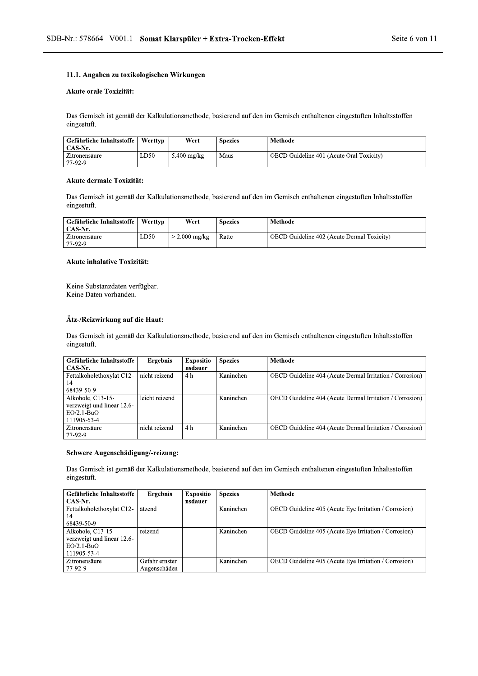# 11.1. Angaben zu toxikologischen Wirkungen

## Akute orale Toxizität:

Somat Klarspüler + Extra-Trocken-Effekt<br>|<br>|<br>|<br>|<br>|<br>| er Kalkulationsmethode, basierend auf den im Gemisch enthaltenen einge Das Gemisch ist gemaß der Kalkulationsmethode, basierend auf den im Gemisch enthaltenen eingestuften Inhaltsstöffen eingestuft.

|                                      |         |               |                | Das Gemisch ist gemäß der Kalkulationsmethode, basierend auf den im Gemisch enthaltenen eingestuften Inhaltsstoffen |
|--------------------------------------|---------|---------------|----------------|---------------------------------------------------------------------------------------------------------------------|
| eingestuft.                          |         |               |                |                                                                                                                     |
| Gefährliche Inhaltsstoffe<br>CAS-Nr. | Werttyp | Wert          | <b>Spezies</b> | <b>Methode</b>                                                                                                      |
| Zitronensäure<br>77-92-9             | LD50    | $5.400$ mg/kg | Maus           | OECD Guideline 401 (Acute Oral Toxicity)                                                                            |

#### Akute dermale Toxizität:

| eingestuft.                          |         |                 |                | Das Gemisch ist gemäß der Kalkulationsmethode, basierend auf den im Gemisch enthaltenen eingestuften Inhaltsstoffen |
|--------------------------------------|---------|-----------------|----------------|---------------------------------------------------------------------------------------------------------------------|
| Gefährliche Inhaltsstoffe<br>CAS Nr. | Werttyp | Wert            | <b>Spezies</b> | <b>Methode</b>                                                                                                      |
| Zitronensäure<br>77-92-9             | LD50    | $> 2.000$ mg/kg | Ratte          | OECD Guideline 402 (Acute Dermal Toxicity)                                                                          |

## Akute inhalative Toxizität:

| Akute inhalative Toxizität:                                                    |                 |                             |                |                                                                                                                     |
|--------------------------------------------------------------------------------|-----------------|-----------------------------|----------------|---------------------------------------------------------------------------------------------------------------------|
| Keine Substanzdaten verfügbar.<br>Keine Daten vorhanden.                       |                 |                             |                |                                                                                                                     |
| Ätz-/Reizwirkung auf die Haut:<br>eingestuft.                                  |                 |                             |                | Das Gemisch ist gemäß der Kalkulationsmethode, basierend auf den im Gemisch enthaltenen eingestuften Inhaltsstoffen |
| Gefährliche Inhaltsstoffe                                                      |                 |                             |                |                                                                                                                     |
| CAS-Nr.                                                                        | <b>Ergebnis</b> | <b>Expositio</b><br>nsdauer | <b>Spezies</b> | <b>Methode</b>                                                                                                      |
| Fettalkoholethoxylat C12-<br>14<br>68439-50-9                                  | nicht reizend   | 4 h                         | Kaninchen      | OECD Guideline 404 (Acute Dermal Irritation / Corrosion)                                                            |
| Alkohole, C13-15-<br>verzweigt und linear 12.6-<br>$EO/2.1-BuO$<br>111905-53-4 | leicht reizend  |                             | Kaninchen      | OECD Guideline 404 (Acute Dermal Irritation / Corrosion)                                                            |

## Schwere Augenschädigung/-reizung:

| 77-92-9<br>Schwere Augenschädigung/-reizung:                                   |                                |                             |                |                                                                                                                     |
|--------------------------------------------------------------------------------|--------------------------------|-----------------------------|----------------|---------------------------------------------------------------------------------------------------------------------|
| eingestuft.                                                                    |                                |                             |                | Das Gemisch ist gemäß der Kalkulationsmethode, basierend auf den im Gemisch enthaltenen eingestuften Inhaltsstoffen |
| Gefährliche Inhaltsstoffe<br>CAS-Nr.                                           | <b>Ergebnis</b>                | <b>Expositio</b><br>nsdauer | <b>Spezies</b> | <b>Methode</b>                                                                                                      |
| Fettalkoholethoxylat C12-<br>14<br>68439-50-9                                  | ätzend                         |                             | Kaninchen      | OECD Guideline 405 (Acute Eye Irritation / Corrosion)                                                               |
| Alkohole, C13-15-<br>verzweigt und linear 12.6-<br>$EO/2.1-BuO$<br>111905-53-4 | reizend                        |                             | Kaninchen      | OECD Guideline 405 (Acute Eye Irritation / Corrosion)                                                               |
| Zitronensäure<br>77-92-9                                                       | Gefahr ernster<br>Augenschäden |                             | Kaninchen      | OECD Guideline 405 (Acute Eye Irritation / Corrosion)                                                               |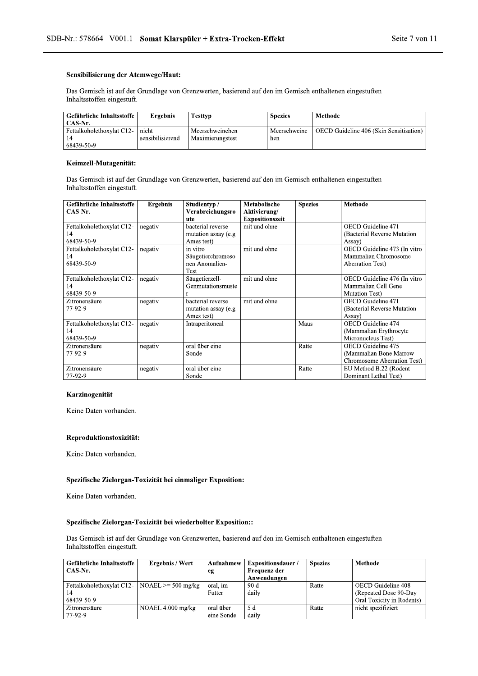## Sensibilisierung der Atemwege/Haut:

Somat Klarspüler + Extra-Trocken-Effekt<br>
mwege/Haut:<br>
Frundlage von Grenzwerten, basierend auf den im Gemisch enthaltenen e<br>
Ergebnis Testtyp Spezies Methode Das Gemisch ist auf der Grundlage von Grenzwerten, basierend auf den im Gemisch enthaltenen eingestuften Inhaltsstoffen eingestuft.

|                            |                  |                  |                | Das Gemisch ist auf der Grundlage von Grenzwerten, basierend auf den im Gemisch enthaltenen eingestuften |
|----------------------------|------------------|------------------|----------------|----------------------------------------------------------------------------------------------------------|
| Inhaltsstoffen eingestuft. |                  |                  |                |                                                                                                          |
| Gefährliche Inhaltsstoffe  | <b>Ergebnis</b>  | <b>Testtyp</b>   | <b>Spezies</b> | <b>Methode</b>                                                                                           |
| CAS-Nr.                    |                  |                  |                |                                                                                                          |
| Fettalkoholethoxylat C12-  | nicht            | Meerschweinchen  | Meerschweinc   | OECD Guideline 406 (Skin Sensitisation)                                                                  |
| 14                         | sensibilisierend | Maximierungstest | hen            |                                                                                                          |
| 68439-50-9                 |                  |                  |                |                                                                                                          |

## Keimzell-Mutagenität:

| Das Gemisch ist auf der Grundlage von Grenzwerten, basierend auf den im Gemisch enthaltenen eingestuften<br>Inhaltsstoffen eingestuft. |                      |                                                         |                                                        |                |                                                                                 |
|----------------------------------------------------------------------------------------------------------------------------------------|----------------------|---------------------------------------------------------|--------------------------------------------------------|----------------|---------------------------------------------------------------------------------|
| Gefährliche Inhaltsstoffe<br>CAS-Nr.                                                                                                   | <b>Ergebnis</b>      | Studientyp /<br>Verabreichungsro<br>ute                 | Metabolische<br>Aktivierung/<br><b>Expositionszeit</b> | <b>Spezies</b> | Methode                                                                         |
| Fettalkoholethoxylat C12-<br>14<br>68439-50-9                                                                                          | negativ              | bacterial reverse<br>mutation assay (e.g<br>Ames test)  | mit und ohne                                           |                | OECD Guideline 471<br>(Bacterial Reverse Mutation)<br>Assay)                    |
| Fettalkoholethoxylat C12-<br>14<br>68439-50-9                                                                                          | negativ              | in vitro<br>Säugetierchromoso<br>nen Anomalien-<br>Test | mit und ohne                                           |                | OECD Guideline 473 (In vitro<br>Mammalian Chromosome<br><b>Aberration Test)</b> |
| Fettalkoholethoxylat C12-<br>14<br>68439-50-9                                                                                          | negativ              | Säugetierzell-<br>Genmutationsmuste<br>$\mathbf{r}$     | mit und ohne                                           |                | OECD Guideline 476 (In vitro<br>Mammalian Cell Gene<br><b>Mutation Test</b> )   |
| Zitronensäure<br>77-92-9                                                                                                               | $negati\overline{v}$ | bacterial reverse<br>mutation assay (e.g<br>Ames test)  | mit und ohne                                           |                | OECD Guideline 471<br>(Bacterial Reverse Mutation<br>Assay)                     |
| Fettalkoholethoxylat C12-<br>14<br>68439-50-9                                                                                          | negativ              | Intraperitoneal                                         |                                                        | Maus           | OECD Guideline 474<br>(Mammalian Erythrocyte<br>Micronucleus Test)              |
| Zitronensäure<br>77-92-9                                                                                                               | negativ              | oral über eine<br>Sonde                                 |                                                        | Ratte          | OECD Guideline 475<br>(Mammalian Bone Marrow<br>Chromosome Aberration Test)     |
| Zitronensäure<br>77-92-9                                                                                                               | negativ              | oral über eine<br>Sonde                                 |                                                        | Ratte          | EU Method B.22 (Rodent<br>Dominant Lethal Test)                                 |

#### Karzinogenität

Keine Daten vorhanden.

#### Reproduktionstoxizität:

Keine Daten vorhanden.

Keine Daten vorhanden.

## Spezifische Zielorgan-Toxizität bei wiederholter Exposition::

Reproduktionstoxizität:<br>
Keine Daten vorhanden.<br>
Spezifische Zielorgan-Toxizität bei einmaliger Exposition:<br>
Keine Daten vorhanden.<br>
Spezifische Zielorgan-Toxizität bei wiederholter Exposition:<br>
Das Gemisch ist auf der Gru Das Gemisch ist auf der Grundlage von Grenzwerten, basierend auf den im Gemisch enthaltenen eingestuften Inhaltsstoffen eingestuft.

| Spezifische Zielorgan-Toxizität bei wiederholter Exposition::                                                                          |                        |                         |                                                         |                |                                                                          |
|----------------------------------------------------------------------------------------------------------------------------------------|------------------------|-------------------------|---------------------------------------------------------|----------------|--------------------------------------------------------------------------|
| Das Gemisch ist auf der Grundlage von Grenzwerten, basierend auf den im Gemisch enthaltenen eingestuften<br>Inhaltsstoffen eingestuft. |                        |                         |                                                         |                |                                                                          |
| Gefährliche Inhaltsstoffe<br>CAS-Nr.                                                                                                   | <b>Ergebnis / Wert</b> | Aufnahmew<br>eg         | <b>Expositionsdauer/</b><br>Frequenz der<br>Anwendungen | <b>Spezies</b> | <b>Methode</b>                                                           |
| Fettalkoholethoxylat C12-<br>14<br>68439-50-9                                                                                          | $NOAEL \ge 500$ mg/kg  | oral, im<br>Futter      | 90d<br>daily                                            | Ratte          | OECD Guideline 408<br>(Repeated Dose 90-Day<br>Oral Toxicity in Rodents) |
| Zitronensäure<br>77-92-9                                                                                                               | NOAEL $4.000$ mg/kg    | oral über<br>eine Sonde | 5 d<br>daily                                            | Ratte          | nicht spezifiziert                                                       |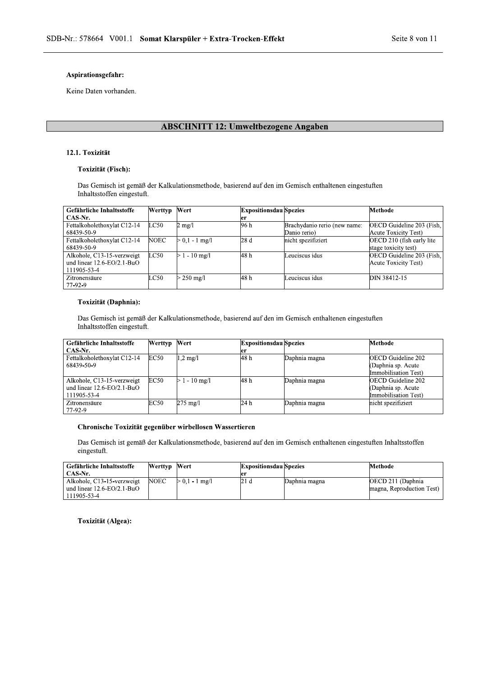Keine Daten vorhanden.

# ABSCHNITT 12: Umweltbezogene Angaben

## 12.1. Toxizität

#### Toxizität (Fisch):

| 12.1. Toxizität             |                |                      |                               |                                                                                                      |                            |
|-----------------------------|----------------|----------------------|-------------------------------|------------------------------------------------------------------------------------------------------|----------------------------|
| <b>Toxizität (Fisch):</b>   |                |                      |                               |                                                                                                      |                            |
| Inhaltsstoffen eingestuft.  |                |                      |                               | Das Gemisch ist gemäß der Kalkulationsmethode, basierend auf den im Gemisch enthaltenen eingestuften |                            |
| Gefährliche Inhaltsstoffe   | <b>Werttyp</b> | Wert                 | <b>Expositionsdau</b> Spezies |                                                                                                      | Methode                    |
| CAS-Nr.                     |                |                      | er                            |                                                                                                      |                            |
| Fettalkoholethoxylat C12-14 | LC50           | $2 \text{ mg}/1$     | 96 h                          | Brachydanio rerio (new name:                                                                         | OECD Guideline 203 (Fish,  |
| 68439-50-9                  |                |                      |                               | Danio rerio)                                                                                         | Acute Toxicity Test)       |
| Fettalkoholethoxylat C12-14 | <b>NOEC</b>    | $> 0.1 - 1$ mg/l     | 28d                           | nicht spezifiziert                                                                                   | OECD 210 (fish early lite) |
| 68439-50-9                  |                |                      |                               |                                                                                                      | stage toxicity test)       |
| Alkohole, C13-15-verzweigt  | LC50           | $> 1 - 10$ mg/l      | 48 h                          | Leuciscus idus                                                                                       | OECD Guideline 203 (Fish.  |
| und linear 12.6-EO/2.1-BuO  |                |                      |                               |                                                                                                      | Acute Toxicity Test)       |
| 111905-53-4                 |                |                      |                               |                                                                                                      |                            |
| Zitronensäure               | LC50           | $> 250 \text{ mg/l}$ | 48 h                          | Leuciscus idus                                                                                       | DIN 38412-15               |
| 77-92-9                     |                |                      |                               |                                                                                                      |                            |

#### Toxizität (Daphnia):

| 77-92-9                                                                                                                            |             |                    |                               |               |                           |  |
|------------------------------------------------------------------------------------------------------------------------------------|-------------|--------------------|-------------------------------|---------------|---------------------------|--|
| Toxizität (Daphnia):                                                                                                               |             |                    |                               |               |                           |  |
| Das Gemisch ist gemäß der Kalkulationsmethode, basierend auf den im Gemisch enthaltenen eingestuften<br>Inhaltsstoffen eingestuft. |             |                    |                               |               |                           |  |
| Gefährliche Inhaltsstoffe                                                                                                          | Werttyp     | Wert               | <b>Expositionsdau Spezies</b> |               | Methode                   |  |
| CAS-Nr.                                                                                                                            |             |                    | er                            |               |                           |  |
| Fettalkoholethoxylat C12-14                                                                                                        | <b>EC50</b> | $1,2 \text{ mg}/l$ | 48 h                          | Daphnia magna | <b>OECD</b> Guideline 202 |  |
| 68439-50-9                                                                                                                         |             |                    |                               |               | (Daphnia sp. Acute        |  |
|                                                                                                                                    |             |                    |                               |               | Immobilisation Test)      |  |
| Alkohole, C13-15-verzweigt                                                                                                         | <b>EC50</b> | $1 - 10$ mg/l      | 48 h                          | Daphnia magna | <b>OECD</b> Guideline 202 |  |
| und linear $12.6 - EO/2.1 - BuO$                                                                                                   |             |                    |                               |               | (Daphnia sp. Acute        |  |
| 111905-53-4                                                                                                                        |             |                    |                               |               | Immobilisation Test)      |  |
| Zitronensäure                                                                                                                      | <b>EC50</b> | $275$ mg/l         | 24 h                          | Daphnia magna | nicht spezifiziert        |  |
| 77-92-9                                                                                                                            |             |                    |                               |               |                           |  |

## Chronische Toxizität gegenüber wirbellosen Wassertieren

| Das Gemisch ist gemäß der Kalkulationsmethode, basierend auf den im Gemisch enthaltenen eingestuften Inhaltsstoffen |                |                  |                               |               |                           |
|---------------------------------------------------------------------------------------------------------------------|----------------|------------------|-------------------------------|---------------|---------------------------|
| eingestuft.                                                                                                         |                |                  |                               |               |                           |
| Gefährliche Inhaltsstoffe                                                                                           | <b>Werttyp</b> | Wert             | <b>Expositionsdau</b> Spezies |               | Methode                   |
| CAS-Nr.                                                                                                             |                |                  | er                            |               |                           |
| Alkohole, C13-15-verzweigt                                                                                          | <b>NOEC</b>    | $> 0.1 - 1$ mg/l | 21d                           | Daphnia magna | OECD 211 (Daphnia         |
| und linear $12.6 - EO/2.1 - BuO$<br>111905-53-4                                                                     |                |                  |                               |               | magna, Reproduction Test) |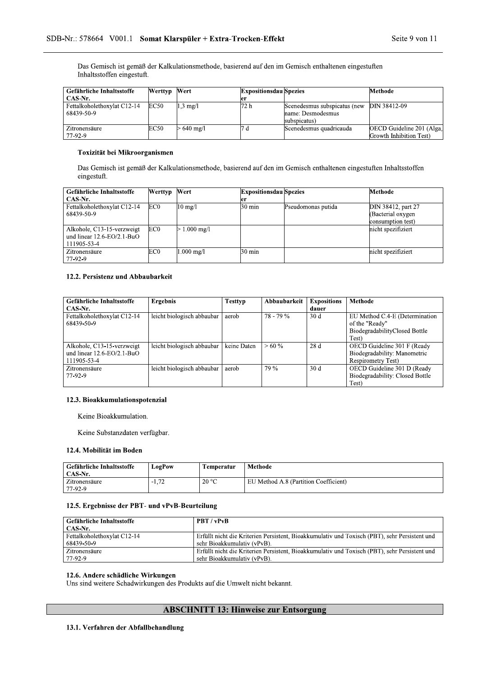| SDB-Nr.: 578664 V001.1 Somat Klarspüler + Extra-Trocken-Effekt |              |                     |                               |                                                                                                      | Seite 9 von 11            |
|----------------------------------------------------------------|--------------|---------------------|-------------------------------|------------------------------------------------------------------------------------------------------|---------------------------|
|                                                                |              |                     |                               |                                                                                                      |                           |
|                                                                |              |                     |                               |                                                                                                      |                           |
| Inhaltsstoffen eingestuft.                                     |              |                     |                               | Das Gemisch ist gemäß der Kalkulationsmethode, basierend auf den im Gemisch enthaltenen eingestuften |                           |
| Gefährliche Inhaltsstoffe                                      | Werttyp Wert |                     | <b>Expositionsdau Spezies</b> |                                                                                                      | Methode                   |
| CAS-Nr.                                                        |              |                     | er                            |                                                                                                      |                           |
| Fettalkoholethoxylat C12-14                                    | <b>EC50</b>  | $1,3$ mg/l          | 72 h                          | Scenedesmus subspicatus (new                                                                         | DIN 38412-09              |
| 68439-50-9                                                     |              |                     |                               | name: Desmodesmus                                                                                    |                           |
| Zitronensäure                                                  | EC50         | $>640 \text{ mg}/1$ | 7 d                           | subspicatus)<br>Scenedesmus quadricauda                                                              | OECD Guideline 201 (Alga, |

## Toxizität bei Mikroorganismen

| <u>— IU VIIVIUMUI V</u><br>77-92-9                                                                                                 | ⊷∽              | $\sim$ 10 $\mu$ $\sim$ | . .                           | seeneacsinas aaaaneaaaa | Growth Inhibition Test) |  |  |
|------------------------------------------------------------------------------------------------------------------------------------|-----------------|------------------------|-------------------------------|-------------------------|-------------------------|--|--|
| Toxizität bei Mikroorganismen                                                                                                      |                 |                        |                               |                         |                         |  |  |
| Das Gemisch ist gemäß der Kalkulationsmethode, basierend auf den im Gemisch enthaltenen eingestuften Inhaltsstoffen<br>eingestuft. |                 |                        |                               |                         |                         |  |  |
| Gefährliche Inhaltsstoffe                                                                                                          | Werttyp         | Wert                   | <b>Expositionsdau</b> Spezies |                         | Methode                 |  |  |
| CAS-Nr.                                                                                                                            |                 |                        | ler                           |                         |                         |  |  |
| Fettalkoholethoxylat C12-14                                                                                                        | EC <sub>0</sub> | $10 \text{ mg}/l$      | $30 \text{ min}$              | Pseudomonas putida      | DIN 38412, part 27      |  |  |
| 68439-50-9                                                                                                                         |                 |                        |                               |                         | (Bacterial oxygen       |  |  |
|                                                                                                                                    |                 |                        |                               |                         | consumption test)       |  |  |
| Alkohole, C13-15-verzweigt                                                                                                         | EC <sub>0</sub> | $.000 \text{ mg}/1$    |                               |                         | nicht spezifiziert      |  |  |
| und linear $12.6 - EO/2.1 - BuO$                                                                                                   |                 |                        |                               |                         |                         |  |  |
| 111905-53-4                                                                                                                        |                 |                        |                               |                         |                         |  |  |
| Zitronensäure                                                                                                                      | EC0             | $1.000 \text{ mg}/1$   | $30 \text{ min}$              |                         | nicht spezifiziert      |  |  |
| 77-92-9                                                                                                                            |                 |                        |                               |                         |                         |  |  |

| 111905-53-4                                                                   |                                 |                  |              |                             |                                                                                            |
|-------------------------------------------------------------------------------|---------------------------------|------------------|--------------|-----------------------------|--------------------------------------------------------------------------------------------|
| Zitronensäure<br>77-92-9                                                      | EC <sub>0</sub><br>$1.000$ mg/l | $30 \text{ min}$ |              |                             | nicht spezifiziert                                                                         |
| 12.2. Persistenz und Abbaubarkeit                                             |                                 |                  |              |                             |                                                                                            |
| Gefährliche Inhaltsstoffe<br>CAS-Nr.                                          | <b>Ergebnis</b>                 | <b>Testtyp</b>   | Abbaubarkeit | <b>Expositions</b><br>dauer | Methode                                                                                    |
| Fettalkoholethoxylat C12-14<br>68439-50-9                                     | leicht biologisch abbaubar      | aerob            | $78 - 79 \%$ | 30d                         | EU Method C.4-E (Determination<br>of the "Ready"<br>BiodegradabilityClosed Bottle<br>Test) |
| Alkohole, C13-15-verzweigt<br>und linear $12.6 - EO/2.1 - BuO$<br>111905-53-4 | leicht biologisch abbaubar      | keine Daten      | $>60\%$      | 28 d                        | OECD Guideline 301 F (Ready<br>Biodegradability: Manometric<br>Respirometry Test)          |
| Zitronensäure<br>77-92-9                                                      | leicht biologisch abbaubar      | aerob            | 79 %         | 30d                         | OECD Guideline 301 D (Ready<br>Biodegradability: Closed Bottle<br>Test)                    |

## 12.3. Bioakkumulationspotenzial

#### 12.4. Mobilität im Boden

| Keine Substanzdaten verfügbar.       |               |            |                                       |
|--------------------------------------|---------------|------------|---------------------------------------|
| 12.4. Mobilität im Boden             |               |            |                                       |
| Gefährliche Inhaltsstoffe<br>CAS-Nr. | <b>LogPow</b> | Temperatur | <b>Methode</b>                        |
| Zitronensäure<br>77-92-9             | $-1,72$       | 20 °C      | EU Method A.8 (Partition Coefficient) |

# 12.5. Ergebnisse der PBT- und vPvB-Beurteilung

| Gefährliche Inhaltsstoffe<br>CAS-Nr.                 | <b>LogPow</b> | Temperatur                  | Methode                                                                                       |
|------------------------------------------------------|---------------|-----------------------------|-----------------------------------------------------------------------------------------------|
| Zitronensäure<br>77-92-9                             | $-1,72$       | 20 °C                       | EU Method A.8 (Partition Coefficient)                                                         |
| 12.5. Ergebnisse der PBT- und vPvB-Beurteilung       |               |                             |                                                                                               |
| Gefährliche Inhaltsstoffe                            |               | PBT / vPvB                  |                                                                                               |
|                                                      |               |                             |                                                                                               |
| CAS-Nr.<br>Fettalkoholethoxylat C12-14<br>68439-50-9 |               | sehr Bioakkumulativ (vPvB). | Erfüllt nicht die Kriterien Persistent, Bioakkumulativ und Toxisch (PBT), sehr Persistent und |

# 12.6. Andere schädliche Wirkungen

L

Uns sind weitere Schadwirkungen des Produkts auf die Umwelt nicht bekannt.  $\frac{|(1)-92-9|}{|(1)-92-9|}$  sent<br>
12.6. Andere schädliche Wirkungen<br>
Uns sind weitere Schadwirkungen des Produkts and<br> **ABSCHNIT**<br>
13.1. Verfahren der Abfallbehandlung

# ABSCHNITT 13: Hinweise zur Entsorgung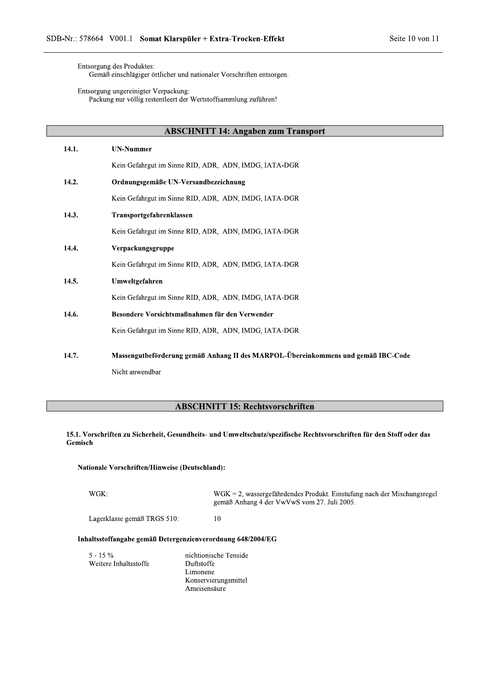Entsorgung des Produktes:

L

Gemäß einschlägiger örtlicher und nationaler Vorschriften entsorgen.

Entsorgung ungereinigter Verpackung:

Packung nur völlig restentleert der Wertstoffsammlung zuführen!

# ABSCHNITT 14: Angaben zum Transport

| 14.1.   | <b>UN-Nummer</b>                                                                                                  |
|---------|-------------------------------------------------------------------------------------------------------------------|
|         | Kein Gefahrgut im Sinne RID, ADR, ADN, IMDG, IATA-DGR                                                             |
| 14.2.   | Ordnungsgemäße UN-Versandbezeichnung                                                                              |
|         | Kein Gefahrgut im Sinne RID, ADR, ADN, IMDG, IATA-DGR                                                             |
| 14.3.   | Transportgefahrenklassen                                                                                          |
|         | Kein Gefahrgut im Sinne RID, ADR, ADN, IMDG, IATA-DGR                                                             |
| 14.4.   | Verpackungsgruppe                                                                                                 |
|         | Kein Gefahrgut im Sinne RID, ADR, ADN, IMDG, IATA-DGR                                                             |
| 14.5.   | Umweltgefahren                                                                                                    |
|         | Kein Gefahrgut im Sinne RID, ADR, ADN, IMDG, IATA-DGR                                                             |
| 14.6.   | Besondere Vorsichtsmaßnahmen für den Verwender                                                                    |
|         | Kein Gefahrgut im Sinne RID, ADR, ADN, IMDG, IATA-DGR                                                             |
| 14.7.   | Massengutbeförderung gemäß Anhang II des MARPOL-Übereinkommens und gemäß IBC-Code                                 |
|         | Nicht anwendbar                                                                                                   |
|         |                                                                                                                   |
|         | <b>ABSCHNITT 15: Rechtsvorschriften</b>                                                                           |
| Gemisch | 15.1. Vorschriften zu Sicherheit, Gesundheits- und Umweltschutz/spezifische Rechtsvorschriften für den Stoff oder |
|         | Nationale Vorschriften/Hinweise (Deutschland):                                                                    |
| WGK:    | $WGK = 2$ , wassergefährdendes Produkt. Einstufung nach der Mischun                                               |

|                                                             | <b>ABSCHNITT 15: Rechtsvorschriften</b>                                                                                   |  |  |
|-------------------------------------------------------------|---------------------------------------------------------------------------------------------------------------------------|--|--|
| Gemisch                                                     | 15.1. Vorschriften zu Sicherheit, Gesundheits- und Umweltschutz/spezifische Rechtsvorschriften für den Stoff oder das     |  |  |
| Nationale Vorschriften/Hinweise (Deutschland):              |                                                                                                                           |  |  |
| WGK:                                                        | $WGK = 2$ , wassergefährdendes Produkt. Einstufung nach der Mischungsregel<br>gemäß Anhang 4 der VwVwS vom 27. Juli 2005. |  |  |
| Lagerklasse gemäß TRGS 510:                                 | 10                                                                                                                        |  |  |
| Inhaltsstoffangabe gemäß Detergenzienverordnung 648/2004/EG |                                                                                                                           |  |  |
| $5 - 15\%$<br>Weitere Inhaltsstoffe                         | nichtionische Tenside<br>Duftstoffe<br>Limonene<br>Konservierungsmittel<br>Ameisensäure                                   |  |  |

# Duftstoffe Limonene Konservierungsmittel Ameisensäure